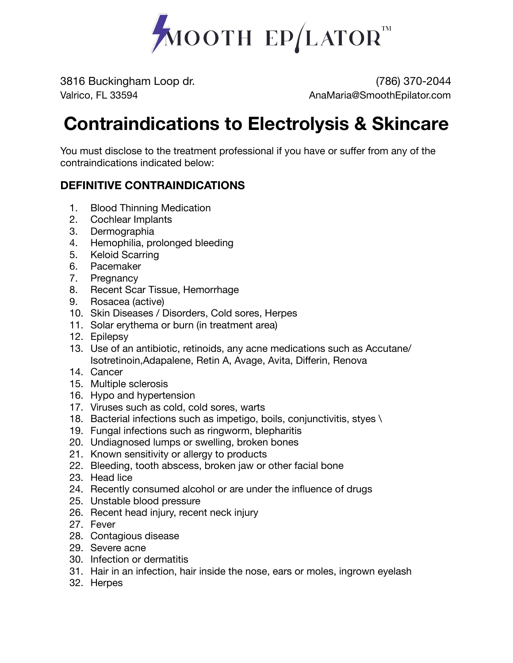

3816 Buckingham Loop dr. (786) 370-2044 Valrico, FL 33594 AnaMaria@SmoothEpilator.com

## **Contraindications to Electrolysis & Skincare**

You must disclose to the treatment professional if you have or suffer from any of the contraindications indicated below:

## **DEFINITIVE CONTRAINDICATIONS**

- 1. Blood Thinning Medication
- 2. Cochlear Implants
- 3. Dermographia
- 4. Hemophilia, prolonged bleeding
- 5. Keloid Scarring
- 6. Pacemaker
- 7. Pregnancy
- 8. Recent Scar Tissue, Hemorrhage
- 9. Rosacea (active)
- 10. Skin Diseases / Disorders, Cold sores, Herpes
- 11. Solar erythema or burn (in treatment area)
- 12. Epilepsy
- 13. Use of an antibiotic, retinoids, any acne medications such as Accutane/ Isotretinoin,Adapalene, Retin A, Avage, Avita, Differin, Renova
- 14. Cancer
- 15. Multiple sclerosis
- 16. Hypo and hypertension
- 17. Viruses such as cold, cold sores, warts
- 18. Bacterial infections such as impetigo, boils, conjunctivitis, styes \
- 19. Fungal infections such as ringworm, blepharitis
- 20. Undiagnosed lumps or swelling, broken bones
- 21. Known sensitivity or allergy to products
- 22. Bleeding, tooth abscess, broken jaw or other facial bone
- 23. Head lice
- 24. Recently consumed alcohol or are under the influence of drugs
- 25. Unstable blood pressure
- 26. Recent head injury, recent neck injury
- 27. Fever
- 28. Contagious disease
- 29. Severe acne
- 30. Infection or dermatitis
- 31. Hair in an infection, hair inside the nose, ears or moles, ingrown eyelash
- 32. Herpes